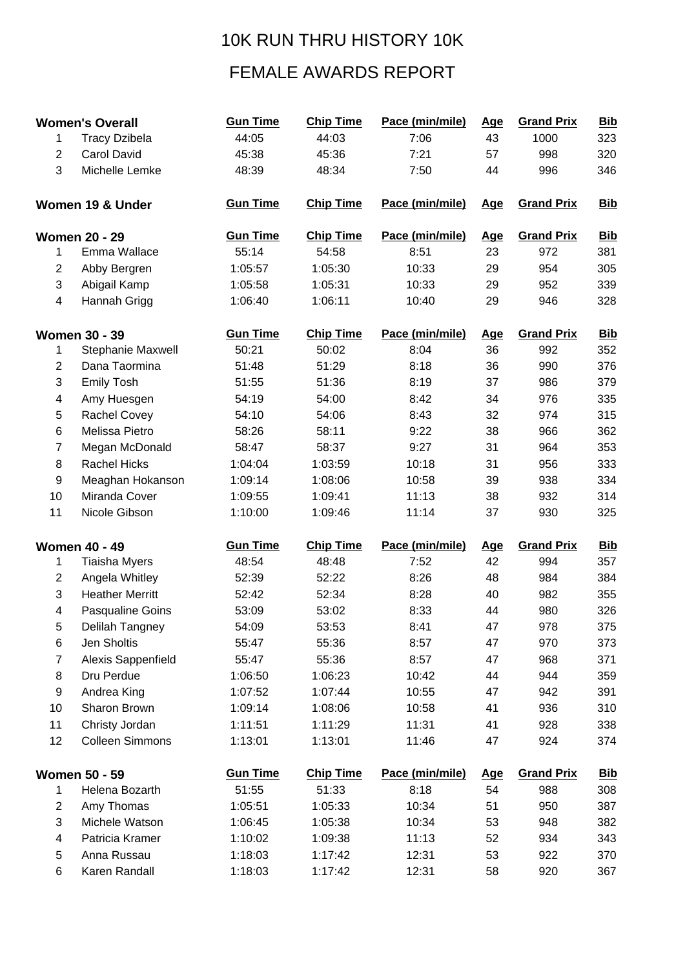## 10K RUN THRU HISTORY 10K

## FEMALE AWARDS REPORT

| <b>Women's Overall</b>   |                        | <b>Gun Time</b> | <b>Chip Time</b> | Pace (min/mile) | <b>Age</b> | <b>Grand Prix</b> | <b>Bib</b> |
|--------------------------|------------------------|-----------------|------------------|-----------------|------------|-------------------|------------|
| 1                        | <b>Tracy Dzibela</b>   | 44:05           | 44:03            | 7:06            | 43         | 1000              | 323        |
| $\overline{2}$           | <b>Carol David</b>     | 45:38           | 45:36            | 7:21            | 57         | 998               | 320        |
| 3                        | Michelle Lemke         | 48:39           | 48:34            | 7:50            | 44         | 996               | 346        |
|                          | Women 19 & Under       | <b>Gun Time</b> | <b>Chip Time</b> | Pace (min/mile) | <u>Age</u> | <b>Grand Prix</b> | <b>Bib</b> |
|                          | <b>Women 20 - 29</b>   | <b>Gun Time</b> | <b>Chip Time</b> | Pace (min/mile) | <u>Age</u> | <b>Grand Prix</b> | <b>Bib</b> |
| 1                        | Emma Wallace           | 55:14           | 54:58            | 8:51            | 23         | 972               | 381        |
| $\overline{2}$           | Abby Bergren           | 1:05:57         | 1:05:30          | 10:33           | 29         | 954               | 305        |
| 3                        | Abigail Kamp           | 1:05:58         | 1:05:31          | 10:33           | 29         | 952               | 339        |
| $\overline{\mathcal{A}}$ | Hannah Grigg           | 1:06:40         | 1:06:11          | 10:40           | 29         | 946               | 328        |
| <b>Women 30 - 39</b>     |                        | <b>Gun Time</b> | <b>Chip Time</b> | Pace (min/mile) | <b>Age</b> | <b>Grand Prix</b> | <b>Bib</b> |
| 1                        | Stephanie Maxwell      | 50:21           | 50:02            | 8:04            | 36         | 992               | 352        |
| $\overline{2}$           | Dana Taormina          | 51:48           | 51:29            | 8:18            | 36         | 990               | 376        |
| 3                        | <b>Emily Tosh</b>      | 51:55           | 51:36            | 8:19            | 37         | 986               | 379        |
| 4                        | Amy Huesgen            | 54:19           | 54:00            | 8:42            | 34         | 976               | 335        |
| 5                        | Rachel Covey           | 54:10           | 54:06            | 8:43            | 32         | 974               | 315        |
| 6                        | Melissa Pietro         | 58:26           | 58:11            | 9:22            | 38         | 966               | 362        |
| $\overline{7}$           | Megan McDonald         | 58:47           | 58:37            | 9:27            | 31         | 964               | 353        |
| $\bf 8$                  | <b>Rachel Hicks</b>    | 1:04:04         | 1:03:59          | 10:18           | 31         | 956               | 333        |
| 9                        | Meaghan Hokanson       | 1:09:14         | 1:08:06          | 10:58           | 39         | 938               | 334        |
| 10                       | Miranda Cover          | 1:09:55         | 1:09:41          | 11:13           | 38         | 932               | 314        |
| 11                       | Nicole Gibson          | 1:10:00         | 1:09:46          | 11:14           | 37         | 930               | 325        |
| <b>Women 40 - 49</b>     |                        | <b>Gun Time</b> | <b>Chip Time</b> | Pace (min/mile) | <u>Age</u> | <b>Grand Prix</b> | <b>Bib</b> |
| 1                        | <b>Tiaisha Myers</b>   | 48:54           | 48:48            | 7:52            | 42         | 994               | 357        |
| $\overline{c}$           | Angela Whitley         | 52:39           | 52:22            | 8:26            | 48         | 984               | 384        |
| 3                        | <b>Heather Merritt</b> | 52:42           | 52:34            | 8:28            | 40         | 982               | 355        |
| 4                        | Pasqualine Goins       | 53:09           | 53:02            | 8:33            | 44         | 980               | 326        |
| 5                        | Delilah Tangney        | 54:09           | 53:53            | 8:41            | 47         | 978               | 375        |
| 6                        | Jen Sholtis            | 55:47           | 55:36            | 8:57            | 47         | 970               | 373        |
| $\overline{7}$           | Alexis Sappenfield     | 55:47           | 55:36            | 8:57            | 47         | 968               | 371        |
| 8                        | Dru Perdue             | 1:06:50         | 1:06:23          | 10:42           | 44         | 944               | 359        |
| 9                        | Andrea King            | 1:07:52         | 1:07:44          | 10:55           | 47         | 942               | 391        |
| 10                       | Sharon Brown           | 1:09:14         | 1:08:06          | 10:58           | 41         | 936               | 310        |
| 11                       | Christy Jordan         | 1:11:51         | 1:11:29          | 11:31           | 41         | 928               | 338        |
| 12                       | <b>Colleen Simmons</b> | 1:13:01         | 1:13:01          | 11:46           | 47         | 924               | 374        |
| <b>Women 50 - 59</b>     |                        | <b>Gun Time</b> | <b>Chip Time</b> | Pace (min/mile) | <u>Age</u> | <b>Grand Prix</b> | <b>Bib</b> |
| 1                        | Helena Bozarth         | 51:55           | 51:33            | 8:18            | 54         | 988               | 308        |
| $\overline{2}$           | Amy Thomas             | 1:05:51         | 1:05:33          | 10:34           | 51         | 950               | 387        |
| 3                        | Michele Watson         | 1:06:45         | 1:05:38          | 10:34           | 53         | 948               | 382        |
| 4                        | Patricia Kramer        | 1:10:02         | 1:09:38          | 11:13           | 52         | 934               | 343        |
| 5                        | Anna Russau            | 1:18:03         | 1:17:42          | 12:31           | 53         | 922               | 370        |
| 6                        | Karen Randall          | 1:18:03         | 1:17:42          | 12:31           | 58         | 920               | 367        |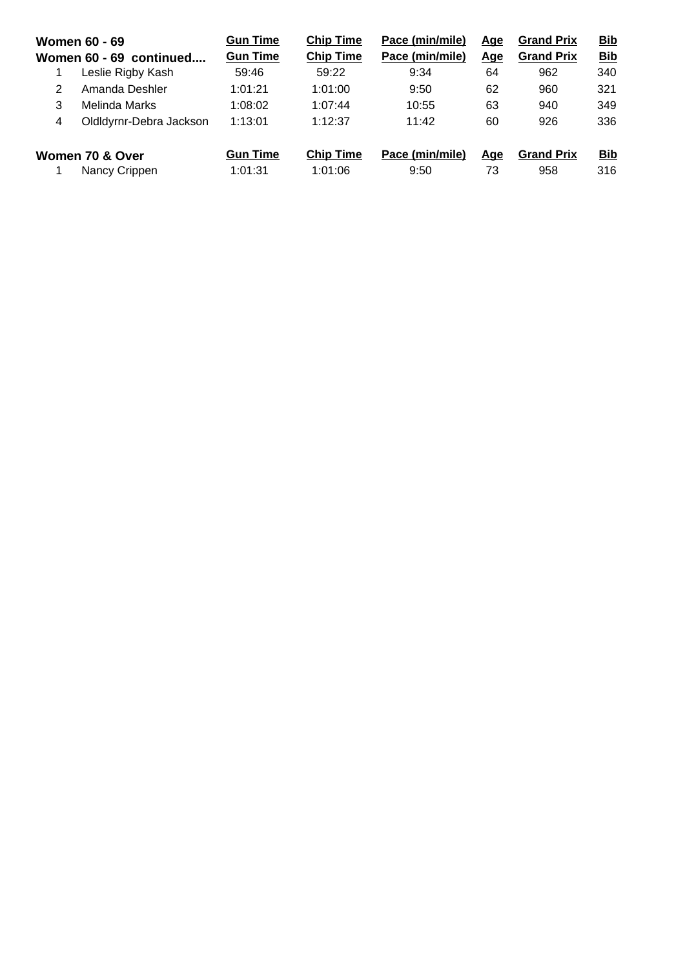| <b>Women 60 - 69</b><br>Women 60 - 69 continued |                         | <b>Gun Time</b><br><b>Gun Time</b> | <b>Chip Time</b><br><b>Chip Time</b> | Pace (min/mile)<br>Pace (min/mile) | <u>Age</u><br><u>Age</u> | <b>Grand Prix</b><br><b>Grand Prix</b> | <b>Bib</b><br><b>Bib</b> |
|-------------------------------------------------|-------------------------|------------------------------------|--------------------------------------|------------------------------------|--------------------------|----------------------------------------|--------------------------|
|                                                 | Leslie Rigby Kash       | 59:46                              | 59:22                                | 9:34                               | 64                       | 962                                    | 340                      |
| 2                                               | Amanda Deshler          | 1:01:21                            | 1:01:00                              | 9:50                               | 62                       | 960                                    | 321                      |
| 3                                               | Melinda Marks           | 1:08:02                            | 1:07:44                              | 10:55                              | 63                       | 940                                    | 349                      |
| 4                                               | Oldldyrnr-Debra Jackson | 1:13:01                            | 1:12:37                              | 11:42                              | 60                       | 926                                    | 336                      |
| Women 70 & Over<br>Nancy Crippen                |                         | <b>Gun Time</b><br>1:01:31         | <b>Chip Time</b><br>1:01:06          | Pace (min/mile)<br>9:50            | <u>Age</u><br>73         | <b>Grand Prix</b><br>958               | <b>Bib</b><br>316        |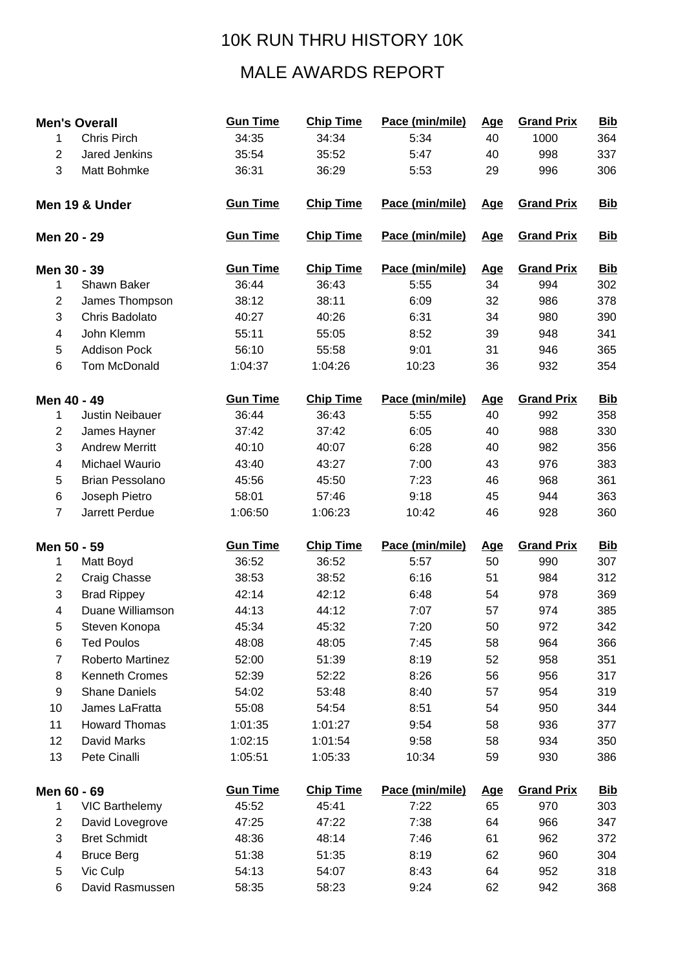## 10K RUN THRU HISTORY 10K

## MALE AWARDS REPORT

| <b>Men's Overall</b>          |                        | <b>Gun Time</b> | <b>Chip Time</b> | Pace (min/mile) | <b>Age</b> | <b>Grand Prix</b> | <b>Bib</b> |
|-------------------------------|------------------------|-----------------|------------------|-----------------|------------|-------------------|------------|
| 1                             | <b>Chris Pirch</b>     | 34:35           | 34:34            | 5:34            | 40         | 1000              | 364        |
| $\overline{2}$                | Jared Jenkins          | 35:54           | 35:52            | 5:47            | 40         | 998               | 337        |
| 3                             | Matt Bohmke            | 36:31           | 36:29            | 5:53            | 29         | 996               | 306        |
| Men 19 & Under<br>Men 20 - 29 |                        | <b>Gun Time</b> | <b>Chip Time</b> | Pace (min/mile) | <b>Age</b> | <b>Grand Prix</b> | <b>Bib</b> |
|                               |                        | <b>Gun Time</b> | <b>Chip Time</b> | Pace (min/mile) | <u>Age</u> | <b>Grand Prix</b> | <b>Bib</b> |
|                               | Men 30 - 39            | <b>Gun Time</b> | <b>Chip Time</b> | Pace (min/mile) | <b>Age</b> | <b>Grand Prix</b> | <b>Bib</b> |
| 1                             | Shawn Baker            | 36:44           | 36:43            | 5:55            | 34         | 994               | 302        |
| $\overline{c}$                | James Thompson         | 38:12           | 38:11            | 6:09            | 32         | 986               | 378        |
| 3                             | Chris Badolato         | 40:27           | 40:26            | 6:31            | 34         | 980               | 390        |
| 4                             | John Klemm             | 55:11           | 55:05            | 8:52            | 39         | 948               | 341        |
| 5                             | <b>Addison Pock</b>    | 56:10           | 55:58            | 9:01            | 31         | 946               | 365        |
| 6                             | <b>Tom McDonald</b>    | 1:04:37         | 1:04:26          | 10:23           | 36         | 932               | 354        |
|                               | Men 40 - 49            | <b>Gun Time</b> | <b>Chip Time</b> | Pace (min/mile) | <b>Age</b> | <b>Grand Prix</b> | <b>Bib</b> |
| 1                             | <b>Justin Neibauer</b> | 36:44           | 36:43            | 5:55            | 40         | 992               | 358        |
| $\overline{c}$                | James Hayner           | 37:42           | 37:42            | 6:05            | 40         | 988               | 330        |
| 3                             | <b>Andrew Merritt</b>  | 40:10           | 40:07            | 6:28            | 40         | 982               | 356        |
| 4                             | Michael Waurio         | 43:40           | 43:27            | 7:00            | 43         | 976               | 383        |
| 5                             | <b>Brian Pessolano</b> | 45:56           | 45:50            | 7:23            | 46         | 968               | 361        |
| 6                             | Joseph Pietro          | 58:01           | 57:46            | 9:18            | 45         | 944               | 363        |
| $\overline{7}$                | Jarrett Perdue         | 1:06:50         | 1:06:23          | 10:42           | 46         | 928               | 360        |
|                               | Men 50 - 59            | <b>Gun Time</b> | <b>Chip Time</b> | Pace (min/mile) | <u>Age</u> | <b>Grand Prix</b> | <b>Bib</b> |
| 1                             | Matt Boyd              | 36:52           | 36:52            | 5:57            | 50         | 990               | 307        |
| 2                             | Craig Chasse           | 38:53           | 38:52            | 6:16            | 51         | 984               | 312        |
| 3                             | <b>Brad Rippey</b>     | 42:14           | 42:12            | 6:48            | 54         | 978               | 369        |
| 4                             | Duane Williamson       | 44:13           | 44:12            | 7:07            | 57         | 974               | 385        |
| 5                             | Steven Konopa          | 45:34           | 45:32            | 7:20            | 50         | 972               | 342        |
| 6                             | <b>Ted Poulos</b>      | 48:08           | 48:05            | 7:45            | 58         | 964               | 366        |
| $\overline{7}$                | Roberto Martinez       | 52:00           | 51:39            | 8:19            | 52         | 958               | 351        |
| 8                             | <b>Kenneth Cromes</b>  | 52:39           | 52:22            | 8:26            | 56         | 956               | 317        |
| 9                             | <b>Shane Daniels</b>   | 54:02           | 53:48            | 8:40            | 57         | 954               | 319        |
| 10                            | James LaFratta         | 55:08           | 54:54            | 8:51            | 54         | 950               | 344        |
| 11                            | <b>Howard Thomas</b>   | 1:01:35         | 1:01:27          | 9:54            | 58         | 936               | 377        |
| 12                            | David Marks            | 1:02:15         | 1:01:54          | 9:58            | 58         | 934               | 350        |
| 13                            | Pete Cinalli           | 1:05:51         | 1:05:33          | 10:34           | 59         | 930               | 386        |
| Men 60 - 69                   |                        | <b>Gun Time</b> | <b>Chip Time</b> | Pace (min/mile) | <u>Age</u> | <b>Grand Prix</b> | <b>Bib</b> |
| 1                             | <b>VIC Barthelemy</b>  | 45:52           | 45:41            | 7:22            | 65         | 970               | 303        |
| 2                             | David Lovegrove        | 47:25           | 47:22            | 7:38            | 64         | 966               | 347        |
| 3                             | <b>Bret Schmidt</b>    | 48:36           | 48:14            | 7:46            | 61         | 962               | 372        |
| 4                             | <b>Bruce Berg</b>      | 51:38           | 51:35            | 8:19            | 62         | 960               | 304        |
|                               |                        |                 |                  | 8:43            | 64         |                   | 318        |
| 5                             | Vic Culp               | 54:13           | 54:07            |                 |            | 952               |            |